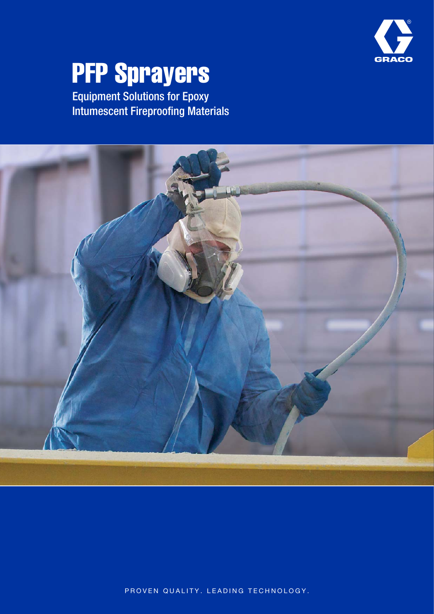

# **PFP Sprayers**

Equipment Solutions for Epoxy Intumescent Fireproofing Materials



PROVEN QUALITY. LEADING TECHNOLOGY.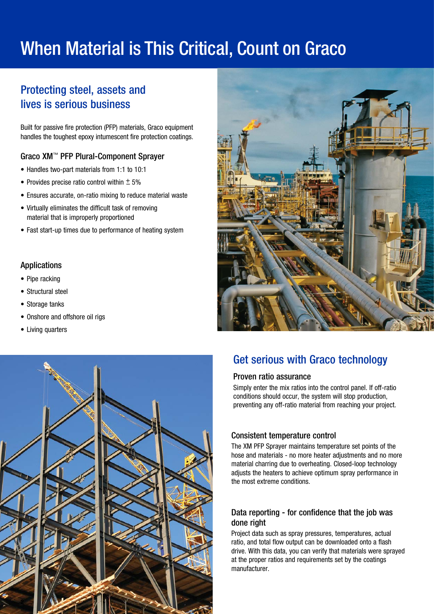## When Material is This Critical, Count on Graco

## Protecting steel, assets and lives is serious business

Built for passive fire protection (PFP) materials, Graco equipment handles the toughest epoxy intumescent fire protection coatings.

#### Graco XM™ PFP Plural-Component Sprayer

- Handles two-part materials from 1:1 to 10:1
- Provides precise ratio control within  $\pm$  5%
- Ensures accurate, on-ratio mixing to reduce material waste
- Virtually eliminates the difficult task of removing material that is improperly proportioned
- Fast start-up times due to performance of heating system

#### Applications

- Pipe racking
- Structural steel
- Storage tanks
- Onshore and offshore oil rigs
- Living quarters





### Get serious with Graco technology

#### Proven ratio assurance

Simply enter the mix ratios into the control panel. If off-ratio conditions should occur, the system will stop production, preventing any off-ratio material from reaching your project.

#### Consistent temperature control

The XM PFP Sprayer maintains temperature set points of the hose and materials - no more heater adjustments and no more material charring due to overheating. Closed-loop technology adjusts the heaters to achieve optimum spray performance in the most extreme conditions.

#### Data reporting - for confidence that the job was done right

Project data such as spray pressures, temperatures, actual ratio, and total flow output can be downloaded onto a flash drive. With this data, you can verify that materials were sprayed at the proper ratios and requirements set by the coatings manufacturer.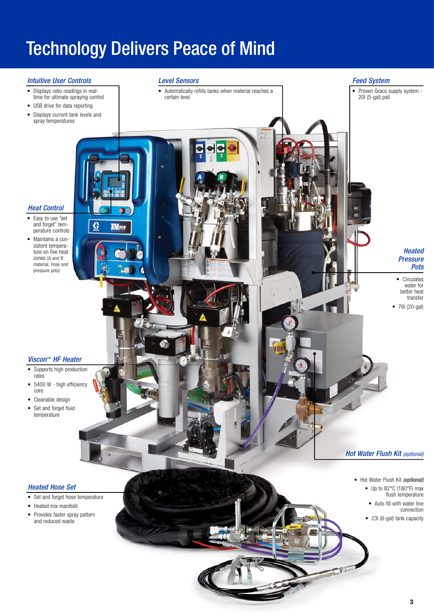## Technology Delivers Peace of Mind

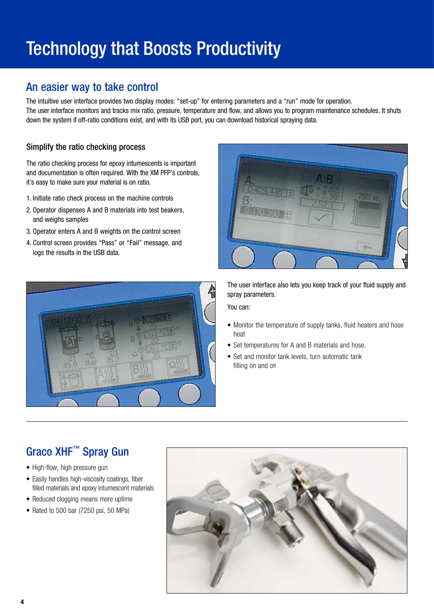## Technology that Boosts Productivity

### An easier way to take control

The intuitive user interface provides two display modes: "set-up" for entering parameters and a "run" mode for operation. The user interface monitors and tracks mix ratio, pressure, temperature and flow, and allows you to program maintenance schedules. It shuts down the system if off-ratio conditions exist, and with its USB port, you can download historical spraying data.

#### Simplify the ratio checking process

The ratio checking process for epoxy intumescents is important and documentation is often required. With the XM PFP's controls, it's easy to make sure your material is on ratio.

- 1. Initiate ratio check process on the machine controls
- 2. Operator dispenses A and B materials into test beakers, and weighs samples
- 3. Operator enters A and B weights on the control screen
- 4. Control screen provides "Pass" or "Fail" message, and logs the results in the USB data.





The user interface also lets you keep track of your fluid supply and spray parameters.

You can:

- Monitor the temperature of supply tanks, fluid heaters and hose heat
- Set temperatures for A and B materials and hose.
- Set and monitor tank levels, turn automatic tank filling on and off

## Graco XHF™ Spray Gun

- High-flow, high pressure gun
- Easily handles high-viscosity coatings, fiber filled materials and epoxy intumescent materials
- Reduced clogging means more uptime
- Rated to 500 bar (7250 psi, 50 MPa)

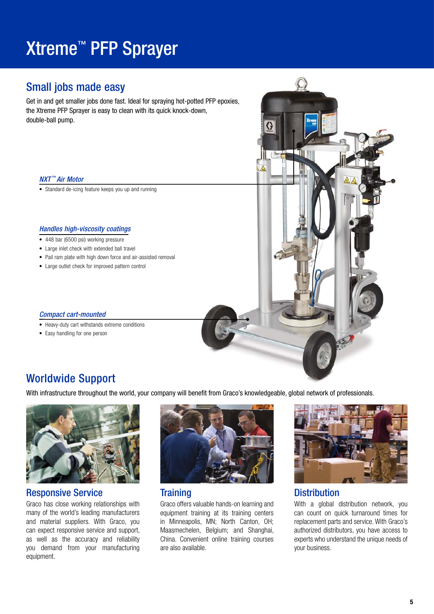## Xtreme™ PFP Sprayer

### Small jobs made easy

Get in and get smaller jobs done fast. Ideal for spraying hot-potted PFP epoxies, the Xtreme PFP Sprayer is easy to clean with its quick knock-down, double-ball pump.

#### NXT<sup>™</sup> Air Motor

• Standard de-icing feature keeps you up and running

#### Handles high-viscosity coatings

- 448 bar (6500 psi) working pressure
- Large inlet check with extended ball travel
- Pail ram plate with high down force and air-assisted removal
- Large outlet check for improved pattern control

#### Compact cart-mounted

- Heavy-duty cart withstands extreme conditions
- Easy handling for one person



### Worldwide Support

With infrastructure throughout the world, your company will benefit from Graco's knowledgeable, global network of professionals.



#### Responsive Service

Graco has close working relationships with many of the world's leading manufacturers and material suppliers. With Graco, you can expect responsive service and support, as well as the accuracy and reliability you demand from your manufacturing equipment.



#### **Training**

Graco offers valuable hands-on learning and equipment training at its training centers in Minneapolis, MN; North Canton, OH; Maasmechelen, Belgium; and Shanghai, China. Convenient online training courses are also available.



#### **Distribution**

With a global distribution network, you can count on quick turnaround times for replacement parts and service. With Graco's authorized distributors, you have access to experts who understand the unique needs of your business.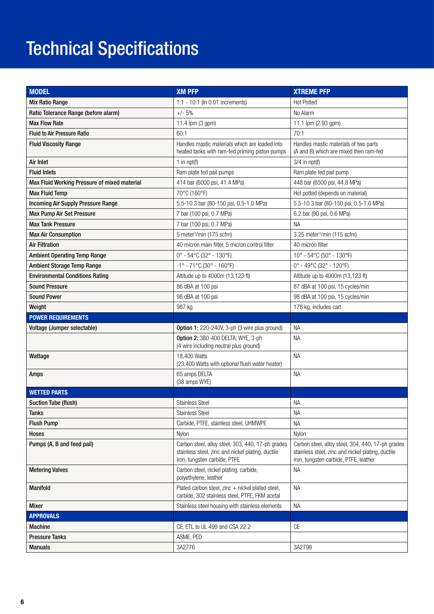## **Technical Specifications**

| <b>MODEL</b>                                 | <b>XM PFP</b>                                                                                                                          | <b>XTREME PFP</b>                                                                                                                               |
|----------------------------------------------|----------------------------------------------------------------------------------------------------------------------------------------|-------------------------------------------------------------------------------------------------------------------------------------------------|
| <b>Mix Ratio Range</b>                       | 1:1 - 10:1 (In 0.01 increments)                                                                                                        | <b>Hot Potted</b>                                                                                                                               |
| Ratio Tolerance Range (before alarm)         | $+/- 5%$                                                                                                                               | No Alarm                                                                                                                                        |
| <b>Max Flow Rate</b>                         | 11.4 lpm (3 gpm)                                                                                                                       | 11.1 lpm (2.93 gpm)                                                                                                                             |
| <b>Fluid to Air Pressure Ratio</b>           | 60:1                                                                                                                                   | 70:1                                                                                                                                            |
| <b>Fluid Viscosity Range</b>                 | Handles mastic materials which are loaded into<br>heated tanks with ram-fed priming piston pumps                                       | Handles mastic materials of two parts<br>(A and B) which are mixed then ram-fed                                                                 |
| Air Inlet                                    | 1 in $npt(f)$                                                                                                                          | $3/4$ in npt(f)                                                                                                                                 |
| <b>Fluid Inlets</b>                          | Ram plate fed pail pumps                                                                                                               | Ram plate fed pail pump                                                                                                                         |
| Max Fluid Working Pressure of mixed material | 414 bar (6000 psi, 41.4 MPa)                                                                                                           | 448 bar (6500 psi, 44.8 MPa)                                                                                                                    |
| <b>Max Fluid Temp</b>                        | 70°C (160°F)                                                                                                                           | Hot potted (depends on material)                                                                                                                |
| <b>Incoming Air Supply Pressure Range</b>    | 5.5-10.3 bar (80-150 psi, 0.5-1.0 MPa)                                                                                                 | 5.5-10.3 bar (80-150 psi, 0.5-1.0 MPa)                                                                                                          |
| <b>Max Pump Air Set Pressure</b>             | 7 bar (100 psi, 0.7 MPa)                                                                                                               | 6.2 bar (90 psi, 0.6 MPa)                                                                                                                       |
| <b>Max Tank Pressure</b>                     | 7 bar (100 psi, 0.7 MPa)                                                                                                               | <b>NA</b>                                                                                                                                       |
| <b>Max Air Consumption</b>                   | 5 meter <sup>3</sup> /min (175 scfm)                                                                                                   | 3.25 meter <sup>3</sup> /min (115 scfm)                                                                                                         |
| <b>Air Filtration</b>                        | 40 micron main filter, 5 micron control filter                                                                                         | 40 micron filter                                                                                                                                |
| <b>Ambient Operating Temp Range</b>          | 0° - 54°C (32° - 130°F)                                                                                                                | 10° - 54°C (50° - 130°F)                                                                                                                        |
| <b>Ambient Storage Temp Range</b>            | $-1^{\circ}$ - 71°C (30° - 160°F)                                                                                                      | 0° - 49°C (32° - 120°F)                                                                                                                         |
| <b>Environmental Conditions Rating</b>       | Altitude up to 4000m (13,123 ft)                                                                                                       | Altitude up to 4000m (13,123 ft)                                                                                                                |
| <b>Sound Pressure</b>                        | 86 dBA at 100 psi                                                                                                                      | 87 dBA at 100 psi, 15 cycles/min                                                                                                                |
| <b>Sound Power</b>                           | 98 dBA at 100 psi                                                                                                                      | 98 dBA at 100 psi, 15 cycles/min                                                                                                                |
| Weight                                       | 987 kg                                                                                                                                 | 178 kg, includes cart                                                                                                                           |
| <b>POWER REQUIREMENTS</b>                    |                                                                                                                                        |                                                                                                                                                 |
| Voltage (Jumper selectable)                  | <b>Option 1:</b> 220-240V, 3-ph (3 wire plus ground)                                                                                   | ΝA                                                                                                                                              |
|                                              | Option 2: 380-400 DELTA, WYE, 3-ph<br>(4 wire including neutral plus ground)                                                           | <b>NA</b>                                                                                                                                       |
| Wattage                                      | 18,400 Watts<br>(23,400 Watts with optional flush water heater)                                                                        | <b>NA</b>                                                                                                                                       |
| Amps                                         | 65 amps DELTA<br>(38 amps WYE)                                                                                                         | <b>NA</b>                                                                                                                                       |
| <b>WETTED PARTS</b>                          |                                                                                                                                        |                                                                                                                                                 |
| <b>Suction Tube (flush)</b>                  | <b>Stainless Steel</b>                                                                                                                 | <b>NA</b>                                                                                                                                       |
| Tanks                                        | <b>Stainless Steel</b>                                                                                                                 | NА                                                                                                                                              |
| <b>Flush Pump</b>                            | Carbide, PTFE, stainless steel, UHMWPE                                                                                                 | <b>NA</b>                                                                                                                                       |
| Hoses                                        | Nylon                                                                                                                                  | Nylon                                                                                                                                           |
| Pumps (A, B and feed pail)                   | Carbon steel, alloy steel, 303, 440, 17-ph grades<br>stainless steel, zinc and nickel plating, ductile<br>iron, tungsten carbide, PTFE | Carbon steel, alloy steel, 304, 440, 17-ph grades<br>stainless steel, zinc and nickel plating, ductile<br>iron, tungsten carbide, PTFE, leather |
| <b>Metering Valves</b>                       | Carbon steel, nickel plating, carbide,<br>polyethylene, leather                                                                        | <b>NA</b>                                                                                                                                       |
| <b>Manifold</b>                              | Plated carbon steel, zinc + nickel plated steel,<br>carbide, 302 stainless steel, PTFE, FKM acetal                                     | <b>NA</b>                                                                                                                                       |
| <b>Mixer</b>                                 | Stainless steel housing with stainless elements                                                                                        | NA                                                                                                                                              |
| <b>APPROVALS</b>                             |                                                                                                                                        |                                                                                                                                                 |
| <b>Machine</b>                               | CE, ETL to UL 499 and CSA 22.2                                                                                                         | CE                                                                                                                                              |
| <b>Pressure Tanks</b>                        | ASME, PED                                                                                                                              |                                                                                                                                                 |
| <b>Manuals</b>                               | 3A2776                                                                                                                                 | 3A2798                                                                                                                                          |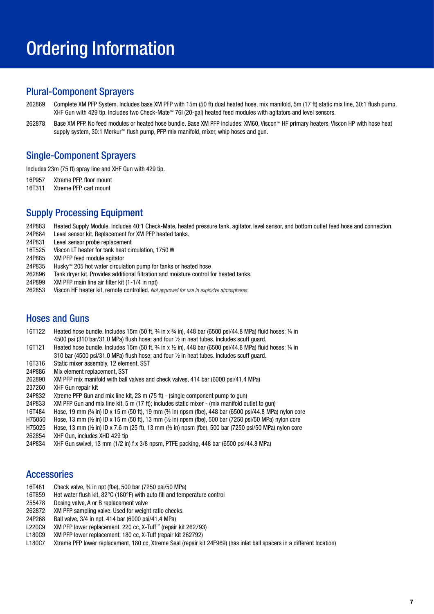## Ordering Information

#### Plural-Component Sprayers

- 262869 Complete XM PFP System. Includes base XM PFP with 15m (50 ft) dual heated hose, mix manifold, 5m (17 ft) static mix line, 30:1 flush pump, XHF Gun with 429 tip. Includes two Check-Mate™ 76l (20-gal) heated feed modules with agitators and level sensors.
- 262878 Base XM PFP. No feed modules or heated hose bundle. Base XM PFP includes: XM60, Viscon™ HF primary heaters, Viscon HP with hose heat supply system, 30:1 Merkur™ flush pump, PFP mix manifold, mixer, whip hoses and gun.

#### Single-Component Sprayers

Includes 23m (75 ft) spray line and XHF Gun with 429 tip.

16P957 Xtreme PFP, floor mount

16T311 Xtreme PFP, cart mount

### Supply Processing Equipment

24P883 Heated Supply Module. Includes 40:1 Check-Mate, heated pressure tank, agitator, level sensor, and bottom outlet feed hose and connection.

- Level sensor kit. Replacement for XM PFP heated tanks.
- 24P831 Level sensor probe replacement
- 16T525 Viscon LT heater for tank heat circulation, 1750 W
- XM PFP feed module agitator
- 24P835 Husky™ 205 hot water circulation pump for tanks or heated hose
- 262896 Tank dryer kit. Provides additional filtration and moisture control for heated tanks.
- 24P899 XM PFP main line air filter kit (1-1/4 in npt)
- 262853 Viscon HF heater kit, remote controlled. Not approved for use in explosive atmospheres.

#### Hoses and Guns

- 16T122 Heated hose bundle. Includes 15m (50 ft,  $\frac{3}{4}$  in x  $\frac{3}{4}$  in), 448 bar (6500 psi/44.8 MPa) fluid hoses; 1/4 in 4500 psi (310 bar/31.0 MPa) flush hose; and four  $\frac{1}{2}$  in heat tubes. Includes scuff guard.
- 16T121 Heated hose bundle. Includes 15m (50 ft,  $\frac{3}{4}$  in x  $\frac{1}{2}$  in), 448 bar (6500 psi/44.8 MPa) fluid hoses;  $\frac{1}{4}$  in 310 bar (4500 psi/31.0 MPa) flush hose; and four  $\frac{1}{2}$  in heat tubes. Includes scuff guard.
- 16T316 Static mixer assembly, 12 element, SST
- 24P886 Mix element replacement, SST
- 262890 XM PFP mix manifold with ball valves and check valves, 414 bar (6000 psi/41.4 MPa)
- 237260 XHF Gun repair kit
- 24P832 Xtreme PFP Gun and mix line kit, 23 m (75 ft) (single component pump to gun)
- 24P833 XM PFP Gun and mix line kit, 5 m (17 ft); includes static mixer (mix manifold outlet to gun)
- 16T484 Hose, 19 mm (¾ in) ID x 15 m (50 ft), 19 mm (¾ in) npsm (fbe), 448 bar (6500 psi/44.8 MPa) nylon core
- H75050 Hose, 13 mm (½ in) ID x 15 m (50 ft), 13 mm (½ in) npsm (fbe), 500 bar (7250 psi/50 MPa) nylon core
- H75025 Hose, 13 mm (½ in) ID x 7.6 m (25 ft), 13 mm (½ in) npsm (fbe), 500 bar (7250 psi/50 MPa) nylon core
- 262854 XHF Gun, includes XHD 429 tip
- 24P834 XHF Gun swivel, 13 mm (1/2 in) f x 3/8 npsm, PTFE packing, 448 bar (6500 psi/44.8 MPa)

#### **Accessories**

- 16T481 Check valve, ¾ in npt (fbe), 500 bar (7250 psi/50 MPa)
- 16T859 Hot water flush kit, 82°C (180°F) with auto fill and temperature control
- 255478 Dosing valve, A or B replacement valve
- 262872 XM PFP sampling valve. Used for weight ratio checks.
- 24P268 Ball valve, 3/4 in npt, 414 bar (6000 psi/41.4 MPa)
- L220C9 XM PFP lower replacement, 220 cc, X-Tuff™ (repair kit 262793)
- L180C9 XM PFP lower replacement, 180 cc, X-Tuff (repair kit 262792)
- L180C7 Xtreme PFP lower replacement, 180 cc, Xtreme Seal (repair kit 24F969) (has inlet ball spacers in a different location)